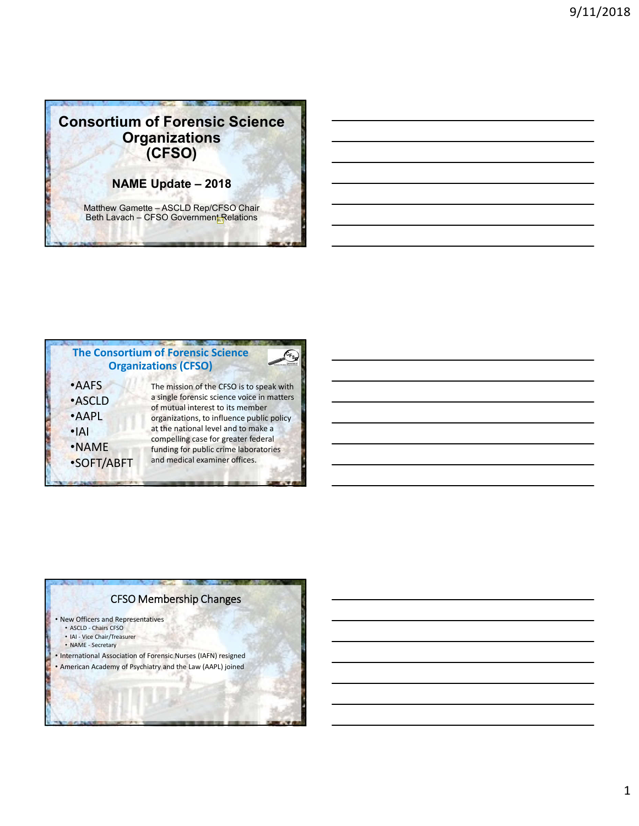# **Consortium of Forensic Science Organizations (CFSO)**

**NAME Update – 2018**

Matthew Gamette – ASCLD Rep/CFSO Chair Beth Lavach – CFSO Government Relations



# CFSO Membership Changes

• New Officers and Representatives

- ASCLD Chairs CFSO • IAI - Vice Chair/Treasurer
- NAME Secretary
- International Association of Forensic Nurses (IAFN) resigned
- American Academy of Psychiatry and the Law (AAPL) joined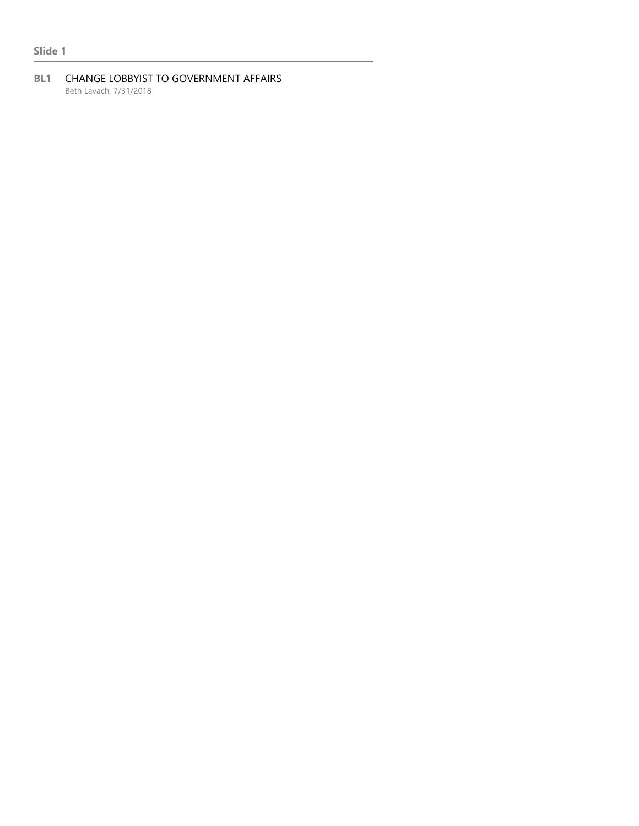### **Slide 1**

#### **BL1** CHANGE LOBBYIST TO GOVERNMENT AFFAIRS Beth Lavach, 7/31/2018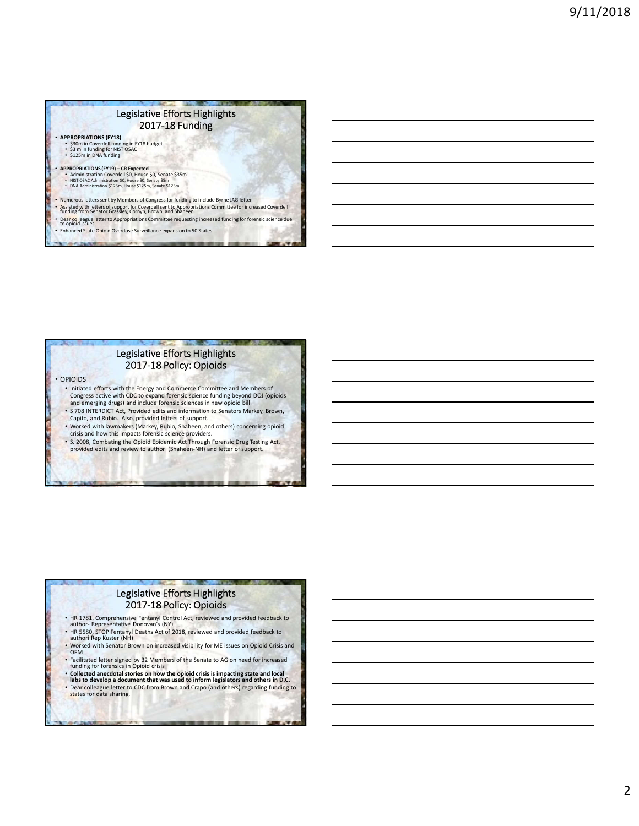#### Legislative Efforts Highlights 2017-18 Funding

• **APPROPRIATIONS (FY18)** • \$30m in Coverdell funding in FY18 budget. • \$3 m in funding for NIST OSAC • \$125m in DNA funding

• **APPROPRIATIONS (FY19) – CR Expected**<br>• Administration Coverdell \$0, House \$0, Senate \$35m<br>• NIST OSAC Administration \$0, House \$1, Senate \$5m<br>• DNA Administration \$125m, House \$125m, Senate \$125m

- Numerous letters sent by Members of Congress for funding to include Byrne JAG letter<br>• Assisted with letters of support for Coverdell sent to Appropriations Committee for increased Coverdell<br>• funding from Senator Grassl
- Dear colleague letter to Appropriations Committee requesting increased funding for forensic science due<br>to opioid issues.

• Enhanced State Opioid Overdose Surveillance expansion to 50 States

#### Legislative Efforts Highlights 2017-18 Policy: Opioids

• OPIOIDS

- Initiated efforts with the Energy and Commerce Committee and Members of Congress active with CDC to expand forensic science funding beyond DOJ (opioids and emerging drugs) and include forensic sciences in new opioid bill
- 
- S 708 INTERDICT Act, Provided edits and information to Senators Markey, Brown,
- Capito, and Rubio. Also, provided letters of support. • Worked with lawmakers (Markey, Rubio, Shaheen, and others) concerning opioid
- crisis and how this impacts forensic science providers.

# • S. 2008, Combating the Opioid Epidemic Act Through Forensic Drug Testing Act, provided edits and review to author (Shaheen-NH) and letter of support.

#### Legislative Efforts Highlights 2017-18 Policy: Opioids

- HR 1781, Comprehensive Fentanyl Control Act, reviewed and provided feedback to author- Representative Donovan's (NY)
- HR 5580, STOP Fentanyl Deaths Act of 2018, reviewed and provided feedback to authori Rep Kuster (NH) • Worked with Senator Brown on increased visibility for ME issues on Opioid Crisis and
- OFM
- Facilitated letter signed by 32 Members of the Senate to AG on need for increased funding for forensics in Opioid crisis
- **Collected anecdotal stories on how the opioid crisis is impacting state and local labs to develop a document that was used to inform legislators and others in D.C.** • Dear colleague letter to CDC from Brown and Crapo (and others) regarding funding to states for data sharing.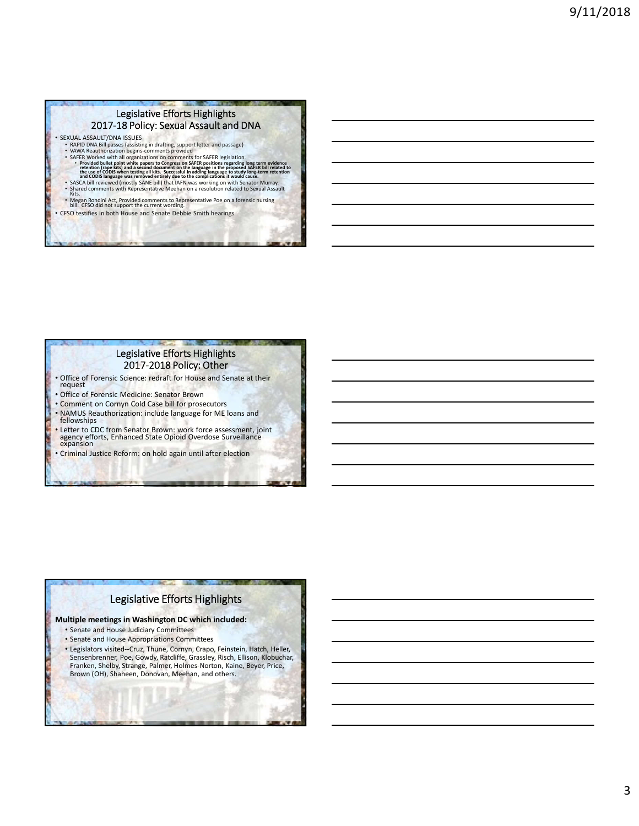#### Legislative Efforts Highlights 2017-18 Policy: Sexual Assault and DNA

- SEXUAL ASSAULT/DNA ISSUES
	-
	-
	- RAPID DNA Bill passes (assisting in drafting, support letter and passage)<br>• VAWA Reauthorization begins-comments provided<br>• SAFER legislation.<br>• SAFER Worked with all organizations on comments for SAFER legislation.<br>• Pr
	-
	-
	- Megan Rondini Act, Provided comments to Representative Poe on a forensic nursing bill. CFSO did not support the current wording.
- CFSO testifies in both House and Senate Debbie Smith hearings

#### Legislative Efforts Highlights 2017-2018 Policy: Other

- Office of Forensic Science: redraft for House and Senate at their request
- Office of Forensic Medicine: Senator Brown
- Comment on Cornyn Cold Case bill for prosecutors
- NAMUS Reauthorization: include language for ME loans and fellowships
- Letter to CDC from Senator Brown: work force assessment, joint agency efforts, Enhanced State Opioid Overdose Surveillance expansion
- Criminal Justice Reform: on hold again until after election

# Legislative Efforts Highlights

#### **Multiple meetings in Washington DC which included:**

- Senate and House Judiciary Committees
- Senate and House Appropriations Committees
- Legislators visited--Cruz, Thune, Cornyn, Crapo, Feinstein, Hatch, Heller, Sensenbrenner, Poe, Gowdy, Ratcliffe, Grassley, Risch, Ellison, Klobuchar, Franken, Shelby, Strange, Palmer, Holmes-Norton, Kaine, Beyer, Price, Brown (OH), Shaheen, Donovan, Meehan, and others.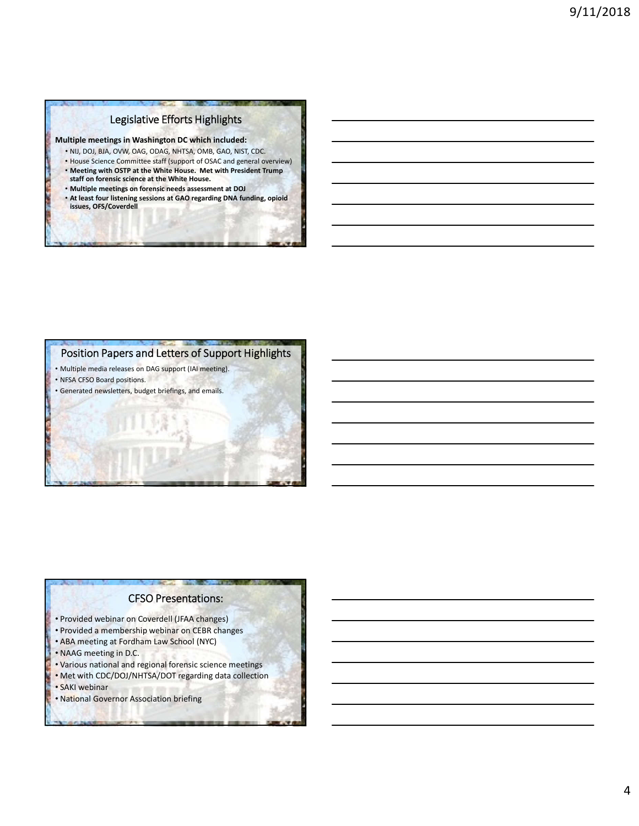# Legislative Efforts Highlights

**Multiple meetings in Washington DC which included:**

- NIJ, DOJ, BJA, OVW, OAG, ODAG, NHTSA, OMB, GAO, NIST, CDC.
- House Science Committee staff (support of OSAC and general overview) • **Meeting with OSTP at the White House. Met with President Trump**
- **staff on forensic science at the White House.** • **Multiple meetings on forensic needs assessment at DOJ**
- **At least four listening sessions at GAO regarding DNA funding, opioid issues, OFS/Coverdell**

## Position Papers and Letters of Support Highlights

• Multiple media releases on DAG support (IAI meeting).

• NFSA CFSO Board positions. • Generated newsletters, budget briefings, and emails.

### CFSO Presentations:

- Provided webinar on Coverdell (JFAA changes)
- Provided a membership webinar on CEBR changes
- ABA meeting at Fordham Law School (NYC)
- NAAG meeting in D.C.
- Various national and regional forensic science meetings
- Met with CDC/DOJ/NHTSA/DOT regarding data collection
- SAKI webinar
- National Governor Association briefing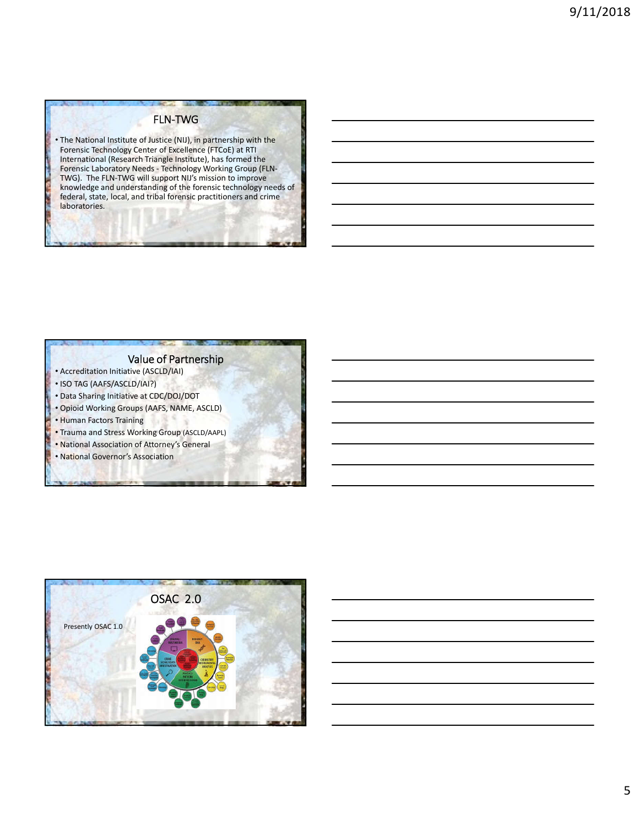## FLN-TWG

• The National Institute of Justice (NIJ), in partnership with the Forensic Technology Center of Excellence (FTCoE) at RTI International (Research Triangle Institute), has formed the Forensic Laboratory Needs - Technology Working Group (FLN-TWG). The FLN-TWG will support NIJ's mission to improve knowledge and understanding of the forensic technology needs of federal, state, local, and tribal forensic practitioners and crime laboratories.

### Value of Partnership

- Accreditation Initiative (ASCLD/IAI)
- ISO TAG (AAFS/ASCLD/IAI?)
- Data Sharing Initiative at CDC/DOJ/DOT
- Opioid Working Groups (AAFS, NAME, ASCLD)
- Human Factors Training
- Trauma and Stress Working Group (ASCLD/AAPL)
- National Association of Attorney's General • National Governor's Association